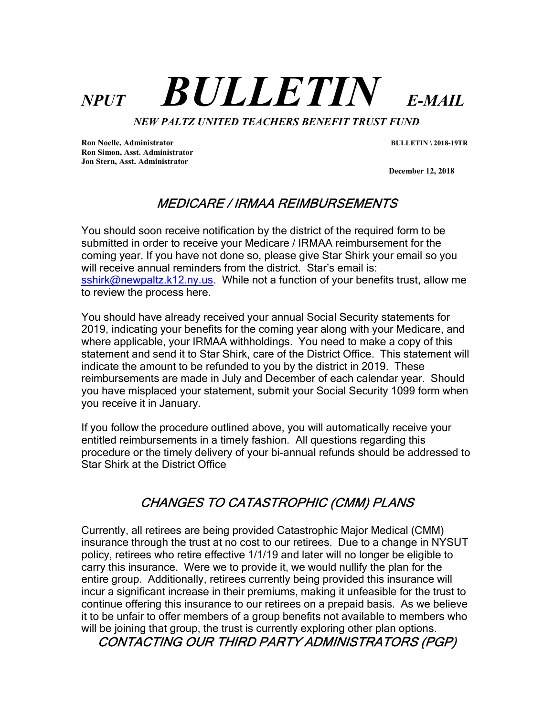# $NPUT$  **BULLETIN** E-MAIL

NEW PALTZ UNITED TEACHERS BENEFIT TRUST FUND

Ron Noelle, Administrator BULLETIN \ 2018-19TR Ron Simon, Asst. Administrator Jon Stern, Asst. Administrator

December 12, 2018

# MEDICARE / IRMAA REIMBURSEMENTS

You should soon receive notification by the district of the required form to be submitted in order to receive your Medicare / IRMAA reimbursement for the coming year. If you have not done so, please give Star Shirk your email so you will receive annual reminders from the district. Star's email is: sshirk@newpaltz.k12.ny.us. While not a function of your benefits trust, allow me to review the process here.

You should have already received your annual Social Security statements for 2019, indicating your benefits for the coming year along with your Medicare, and where applicable, your IRMAA withholdings. You need to make a copy of this statement and send it to Star Shirk, care of the District Office. This statement will indicate the amount to be refunded to you by the district in 2019. These reimbursements are made in July and December of each calendar year. Should you have misplaced your statement, submit your Social Security 1099 form when you receive it in January.

If you follow the procedure outlined above, you will automatically receive your entitled reimbursements in a timely fashion. All questions regarding this procedure or the timely delivery of your bi-annual refunds should be addressed to Star Shirk at the District Office

## CHANGES TO CATASTROPHIC (CMM) PLANS

Currently, all retirees are being provided Catastrophic Major Medical (CMM) insurance through the trust at no cost to our retirees. Due to a change in NYSUT policy, retirees who retire effective 1/1/19 and later will no longer be eligible to carry this insurance. Were we to provide it, we would nullify the plan for the entire group. Additionally, retirees currently being provided this insurance will incur a significant increase in their premiums, making it unfeasible for the trust to continue offering this insurance to our retirees on a prepaid basis. As we believe it to be unfair to offer members of a group benefits not available to members who will be joining that group, the trust is currently exploring other plan options.

#### CONTACTING OUR THIRD PARTY ADMINISTRATORS (PGP)